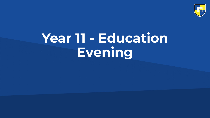

# **Year 11 - Education Evening**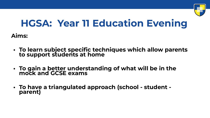

#### **HGSA: Year 11 Education Evening**

**Aims:**

- **• To learn subject specific techniques which allow parents to support students at home**
- **• To gain a better understanding of what will be in the mock and GCSE exams**
- **• To have a triangulated approach (school student parent)**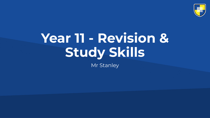

# **Year 11 - Revision & Study Skills**

Mr Stanley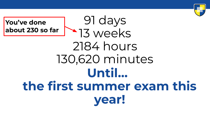

#### 91 days 13 weeks 2184 hours 130,620 minutes **Until… the first summer exam this year! You've done about 230 so far**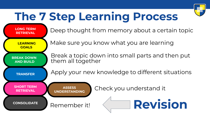

## **The 7 Step Learning Process**

**RETRIEVAL**

LONG TERM **Deep thought from memory about a certain topic** 

 **LEARNING GOALS** 

 **BREAK DOWN AND BUILD** 

Make sure you know what you are learning

Break a topic down into small parts and then put them all together

**TRANSFER** Apply your new knowledge to different situations

**SHORT TERM**

**ASSESS UNDERSTANDING**

**CONSOLIDATE** Remember it!

**RETRIEVAL CHECK YOU UNDERGANDING** 

**Revision**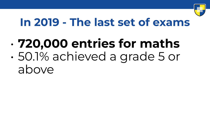

### **In 2019 - The last set of exams**

• **720,000 entries for maths** • 50.1% achieved a grade 5 or above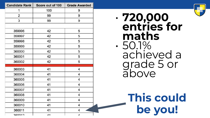| <b>Candidate Rank</b> | Score out of 100 | <b>Grade Awarded</b> |  |
|-----------------------|------------------|----------------------|--|
| 1                     | 100              | 9                    |  |
| 2                     | 99               | 9                    |  |
| 3                     | 99               | 9                    |  |
|                       |                  |                      |  |
| 359996                | 42               | 5                    |  |
| 359997                | 42               | 5                    |  |
| 359998                | 42               | 5                    |  |
| 359999                | 42               | 5                    |  |
| 360000                | 42               | 5                    |  |
| 360001                | 42               | 5                    |  |
| 360002                | 42               | 5                    |  |
|                       |                  |                      |  |
| 360003                | 41               | 4                    |  |
| 360004                | 41               | 4                    |  |
| 360005                | 41               | 4                    |  |
| 360006                | 41               | 4                    |  |
| 360007                | 41               | 4                    |  |
| 360008                | 41               | 4                    |  |
| 360009                | 41               | 4                    |  |
| 360010                | 41               | 4                    |  |
| 360011                | 41               | 4                    |  |
| 000010                | $\overline{A}$   | $\overline{A}$       |  |





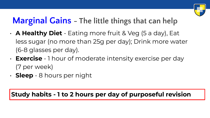

#### **Marginal Gains - The little things that can help**

- **A Healthy Diet** Eating more fruit & Veg (5 a day), Eat less sugar (no more than 25g per day); Drink more water (6-8 glasses per day).
- **Exercise** 1 hour of moderate intensity exercise per day (7 per week)
- **Sleep** 8 hours per night

**Study habits - 1 to 2 hours per day of purposeful revision**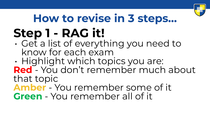

# **How to revise in 3 steps… Step 1 - RAG it!**

- Get a list of everything you need to know for each exam
- Highlight which topics you are: **Red** - You don't remember much about that topic
- **Amber** You remember some of it **Green** - You remember all of it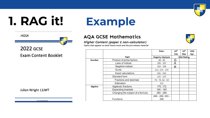

# **1. RAG it! Example**

#### **AQA GCSE Mathematics**

#### **Higher Content (paper 1 non-calculator)**

Topics that appear on both March mock and the pre-release material

|               |                                             | Date:             | 14 <sup>th</sup>  | 14 <sup>th</sup> | 14th |
|---------------|---------------------------------------------|-------------------|-------------------|------------------|------|
|               |                                             |                   | Feb               | Mar              | Apr  |
|               | <b>Topic</b>                                | Hegarty clip/quiz | <b>RAG Rating</b> |                  |      |
| <b>Number</b> | Product of prime factors                    | $28 - 30$         | G                 |                  |      |
|               | Laws of indices                             | $105 - 107$       | Α                 |                  |      |
|               | Negative indices<br>٠                       | $103 - 104$       | R                 |                  |      |
|               | Surds                                       | 111, 113 - 115    |                   |                  |      |
|               | <b>Exact calculations</b>                   | 541 - 543         |                   |                  |      |
|               | Standard form                               | 121 - 127         |                   |                  |      |
|               | Fractions and decimals                      | 73 - 74, 52 - 54  |                   |                  |      |
|               | Estimation<br>$\blacksquare$                | 131               |                   |                  |      |
| Algebra       | Algebraic fractions                         | 170, 172          |                   |                  |      |
|               | <b>Expanding brackets</b><br>$\blacksquare$ | $160 - 165$       |                   |                  |      |
|               | Changing the subject of a formula<br>۰.     | 280 - 286         |                   |                  |      |
|               |                                             | 288 - 289, 293 -  |                   |                  |      |
|               | <b>Functions</b>                            | 296               |                   |                  |      |
|               |                                             |                   |                   |                  |      |



Julien Wright 11JWT

Learn AsnireAchiev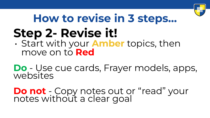

#### **Step 2- Revise it!**  • Start with your **Amber** topics, then move on to **Red How to revise in 3 steps…**

**Do** - Use cue cards, Frayer models, apps, websites

**Do not** - Copy notes out or "read" your notes without a clear goal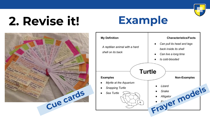

## **2. Revise it! Example**



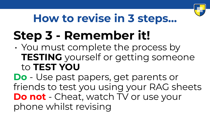

## **How to revise in 3 steps…**

# **Step 3 - Remember it!**

• You must complete the process by **TESTING** yourself or getting someone to **TEST YOU**

**Do** - Use past papers, get parents or friends to test you using your RAG sheets **Do not** - Cheat, watch TV or use your phone whilst revising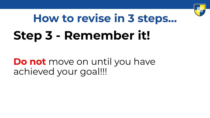

# **Step 3 - Remember it! How to revise in 3 steps…**

#### **Do not** move on until you have achieved your goal!!!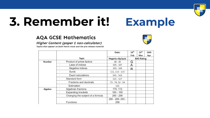

# **3. Remember it! Example**

#### **AQA GCSE Mathematics**

#### Higher Content (paper 1 non-calculator)



Topics that appear on both March mock and the pre-release material

|         |                                                | Date:                   | 14 <sup>th</sup><br>Feb | 14 <sup>th</sup><br>Mar | 14th<br>Apr |
|---------|------------------------------------------------|-------------------------|-------------------------|-------------------------|-------------|
|         | <b>Topic</b>                                   | Hegarty clip/quiz       | <b>RAG Rating</b>       |                         |             |
| Number  | Product of prime factors                       | $28 - 30$               | G                       |                         |             |
|         | Laws of indices<br>$\mathcal{M}_{\mathcal{A}}$ | $105 - 107$             | Α                       |                         |             |
|         | Negative indices                               | $103 - 104$             | R                       |                         |             |
|         | Surds                                          | 111, 113 - 115          |                         |                         |             |
|         | <b>Exact calculations</b>                      | 541 - 543               |                         |                         |             |
|         | Standard form                                  | $121 - 127$             |                         |                         |             |
|         | Fractions and decimals                         | $73 - 74, 52 - 54$      |                         |                         |             |
|         | Estimation                                     | 131                     |                         |                         |             |
| Algebra | Algebraic fractions                            | 170, 172                |                         |                         |             |
|         | <b>Expanding brackets</b>                      | $160 - 165$             |                         |                         |             |
|         | Changing the subject of a formula              | 280 - 286               |                         |                         |             |
|         | Functions                                      | 288 - 289, 293 -<br>296 |                         |                         |             |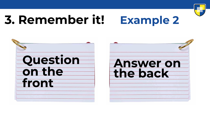

## **3. Remember it! Example 2**

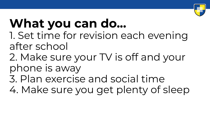

# **What you can do...**

- 1. Set time for revision each evening after school
- 2. Make sure your TV is off and your phone is away
- 3. Plan exercise and social time
- 4. Make sure you get plenty of sleep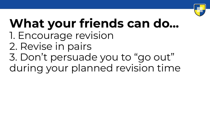

### **What your friends can do...**  1. Encourage revision 2. Revise in pairs 3. Don't persuade you to "go out" during your planned revision time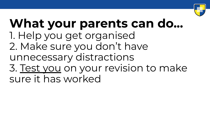

#### **What your parents can do...**  1. Help you get organised 2. Make sure you don't have unnecessary distractions 3. Test you on your revision to make sure it has worked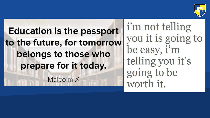

### **Education is the passport** to the future, for tomorrow belongs to those who prepare for it today.

Malcolm X

i'm not telling you it is going to be easy, i'm telling you it's going to be worth it